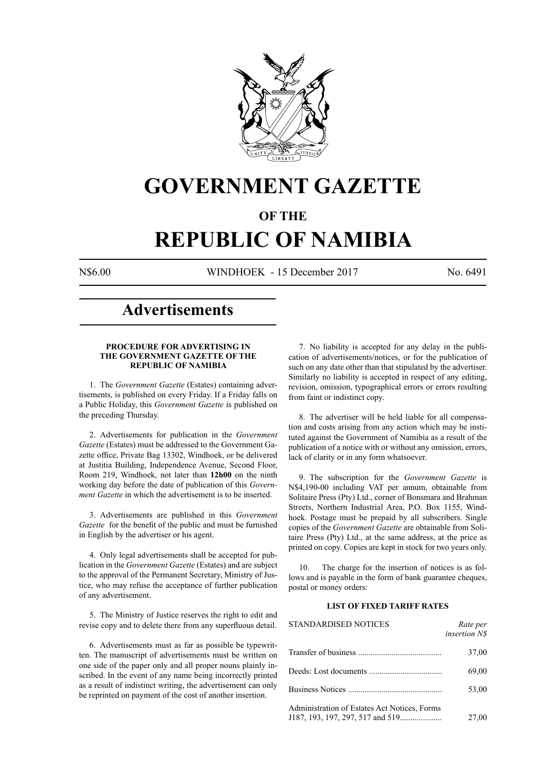

## **GOVERNMENT GAZETTE**

### **OF THE**

# **REPUBLIC OF NAMIBIA**

N\$6.00 WINDHOEK - 15 December 2017 No. 6491

### **Advertisements**

#### **PROCEDURE FOR ADVERTISING IN THE GOVERNMENT GAZETTE OF THE REPUBLIC OF NAMIBIA**

1. The *Government Gazette* (Estates) containing advertisements, is published on every Friday. If a Friday falls on a Public Holiday, this *Government Gazette* is published on the preceding Thursday.

2. Advertisements for publication in the *Government Gazette* (Estates) must be addressed to the Government Gazette office, Private Bag 13302, Windhoek, or be delivered at Justitia Building, Independence Avenue, Second Floor, Room 219, Windhoek, not later than **12h00** on the ninth working day before the date of publication of this *Government Gazette* in which the advertisement is to be inserted.

3. Advertisements are published in this *Government Gazette* for the benefit of the public and must be furnished in English by the advertiser or his agent.

4. Only legal advertisements shall be accepted for publication in the *Government Gazette* (Estates) and are subject to the approval of the Permanent Secretary, Ministry of Justice, who may refuse the acceptance of further publication of any advertisement.

5. The Ministry of Justice reserves the right to edit and revise copy and to delete there from any superfluous detail.

6. Advertisements must as far as possible be typewritten. The manuscript of advertisements must be written on one side of the paper only and all proper nouns plainly inscribed. In the event of any name being incorrectly printed as a result of indistinct writing, the advertisement can only be reprinted on payment of the cost of another insertion.

7. No liability is accepted for any delay in the publication of advertisements/notices, or for the publication of such on any date other than that stipulated by the advertiser. Similarly no liability is accepted in respect of any editing, revision, omission, typographical errors or errors resulting from faint or indistinct copy.

8. The advertiser will be held liable for all compensation and costs arising from any action which may be instituted against the Government of Namibia as a result of the publication of a notice with or without any omission, errors, lack of clarity or in any form whatsoever.

9. The subscription for the *Government Gazette* is N\$4,190-00 including VAT per annum, obtainable from Solitaire Press (Pty) Ltd., corner of Bonsmara and Brahman Streets, Northern Industrial Area, P.O. Box 1155, Windhoek. Postage must be prepaid by all subscribers. Single copies of the *Government Gazette* are obtainable from Solitaire Press (Pty) Ltd., at the same address, at the price as printed on copy. Copies are kept in stock for two years only.

10. The charge for the insertion of notices is as follows and is payable in the form of bank guarantee cheques, postal or money orders:

#### **LIST OF FIXED TARIFF RATES**

| <b>STANDARDISED NOTICES</b>                  | Rate per<br><i>insertion NS</i> |
|----------------------------------------------|---------------------------------|
|                                              | 37,00                           |
|                                              | 69,00                           |
|                                              | 53,00                           |
| Administration of Estates Act Notices, Forms | 27,00                           |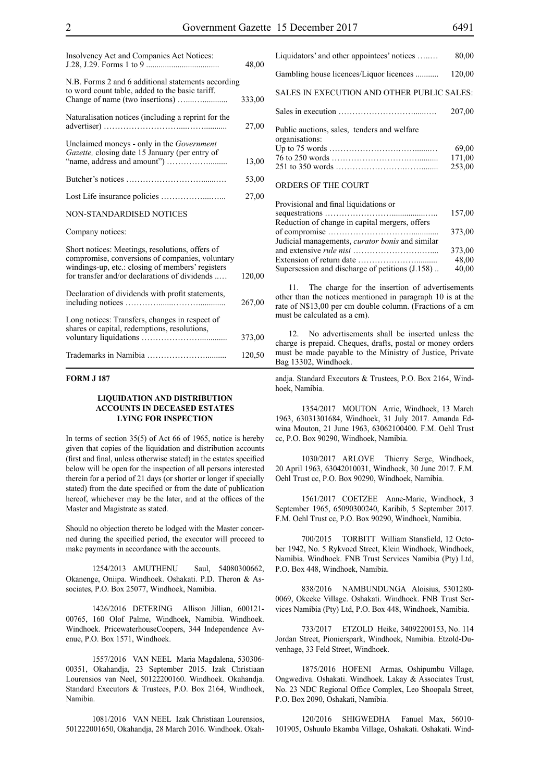| Insolvency Act and Companies Act Notices:                                                                                                                                                               | 48,00  |
|---------------------------------------------------------------------------------------------------------------------------------------------------------------------------------------------------------|--------|
| N.B. Forms 2 and 6 additional statements according<br>to word count table, added to the basic tariff.                                                                                                   | 333,00 |
| Naturalisation notices (including a reprint for the                                                                                                                                                     | 27,00  |
| Unclaimed moneys - only in the Government<br>Gazette, closing date 15 January (per entry of                                                                                                             | 13,00  |
|                                                                                                                                                                                                         | 53,00  |
|                                                                                                                                                                                                         | 27,00  |
| <b>NON-STANDARDISED NOTICES</b>                                                                                                                                                                         |        |
| Company notices:                                                                                                                                                                                        |        |
| Short notices: Meetings, resolutions, offers of<br>compromise, conversions of companies, voluntary<br>windings-up, etc.: closing of members' registers<br>for transfer and/or declarations of dividends | 120,00 |
| Declaration of dividends with profit statements,                                                                                                                                                        | 267,00 |
| Long notices: Transfers, changes in respect of<br>shares or capital, redemptions, resolutions,                                                                                                          | 373,00 |
|                                                                                                                                                                                                         | 120,50 |
|                                                                                                                                                                                                         |        |

#### **FORM J 187**

#### **LIQUIDATION AND DISTRIBUTION ACCOUNTS IN DECEASED ESTATES LYING FOR INSPECTION**

In terms of section 35(5) of Act 66 of 1965, notice is hereby given that copies of the liquidation and distribution accounts (first and final, unless otherwise stated) in the estates specified below will be open for the inspection of all persons interested therein for a period of 21 days (or shorter or longer if specially stated) from the date specified or from the date of publication hereof, whichever may be the later, and at the offices of the Master and Magistrate as stated.

Should no objection thereto be lodged with the Master concerned during the specified period, the executor will proceed to make payments in accordance with the accounts.

1254/2013 AMUTHENU Saul, 54080300662, Okanenge, Oniipa. Windhoek. Oshakati. P.D. Theron & Associates, P.O. Box 25077, Windhoek, Namibia.

1426/2016 DETERING Allison Jillian, 600121- 00765, 160 Olof Palme, Windhoek, Namibia. Windhoek. Windhoek. PricewaterhouseCoopers, 344 Independence Avenue, P.O. Box 1571, Windhoek.

1557/2016 VAN NEEL Maria Magdalena, 530306- 00351, Okahandja, 23 September 2015. Izak Christiaan Lourensios van Neel, 50122200160. Windhoek. Okahandja. Standard Executors & Trustees, P.O. Box 2164, Windhoek, Namibia.

1081/2016 VAN NEEL Izak Christiaan Lourensios, 501222001650, Okahandja, 28 March 2016. Windhoek. Okah-

| Liquidators' and other appointees' notices                    | 80,00                     |
|---------------------------------------------------------------|---------------------------|
| Gambling house licences/Liquor licences                       | 120,00                    |
| SALES IN EXECUTION AND OTHER PUBLIC SALES:                    |                           |
|                                                               | 207,00                    |
| Public auctions, sales, tenders and welfare<br>organisations: | 69,00<br>171,00<br>253,00 |
| <b>ORDERS OF THE COURT</b>                                    |                           |

| Provisional and final liquidations or                  |        |
|--------------------------------------------------------|--------|
|                                                        | 157,00 |
| Reduction of change in capital mergers, offers         |        |
|                                                        | 373,00 |
| Judicial managements, <i>curator bonis</i> and similar |        |
|                                                        | 373,00 |
|                                                        | 48.00  |
| Supersession and discharge of petitions (J.158)        | 40,00  |

11. The charge for the insertion of advertisements other than the notices mentioned in paragraph 10 is at the rate of N\$13,00 per cm double column. (Fractions of a cm must be calculated as a cm).

12. No advertisements shall be inserted unless the charge is prepaid. Cheques, drafts, postal or money orders must be made payable to the Ministry of Justice, Private Bag 13302, Windhoek.

andja. Standard Executors & Trustees, P.O. Box 2164, Windhoek, Namibia.

1354/2017 MOUTON Arrie, Windhoek, 13 March 1963, 63031301684, Windhoek, 31 July 2017. Amanda Edwina Mouton, 21 June 1963, 63062100400. F.M. Oehl Trust cc, P.O. Box 90290, Windhoek, Namibia.

1030/2017 ARLOVE Thierry Serge, Windhoek, 20 April 1963, 63042010031, Windhoek, 30 June 2017. F.M. Oehl Trust cc, P.O. Box 90290, Windhoek, Namibia.

1561/2017 COETZEE Anne-Marie, Windhoek, 3 September 1965, 65090300240, Karibib, 5 September 2017. F.M. Oehl Trust cc, P.O. Box 90290, Windhoek, Namibia.

700/2015 TORBITT William Stansfield, 12 October 1942, No. 5 Rykvoed Street, Klein Windhoek, Windhoek, Namibia. Windhoek. FNB Trust Services Namibia (Pty) Ltd, P.O. Box 448, Windhoek, Namibia.

838/2016 NAMBUNDUNGA Aloisius, 5301280- 0069, Okeeke Village. Oshakati. Windhoek. FNB Trust Services Namibia (Pty) Ltd, P.O. Box 448, Windhoek, Namibia.

733/2017 ETZOLD Heike, 34092200153, No. 114 Jordan Street, Pionierspark, Windhoek, Namibia. Etzold-Duvenhage, 33 Feld Street, Windhoek.

1875/2016 HOFENI Armas, Oshipumbu Village, Ongwediva. Oshakati. Windhoek. Lakay & Associates Trust, No. 23 NDC Regional Office Complex, Leo Shoopala Street, P.O. Box 2090, Oshakati, Namibia.

120/2016 shigwedha Fanuel Max, 56010- 101905, Oshuulo Ekamba Village, Oshakati. Oshakati. Wind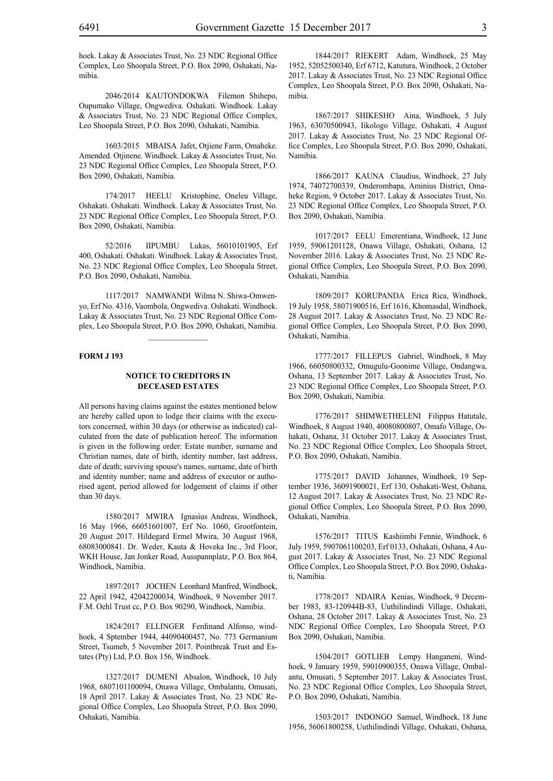hoek. Lakay & Associates Trust, No. 23 NDC Regional Office Complex, Leo Shoopala Street, P.O. Box 2090, Oshakati, Namibia.

2046/2014 KAUTONDOKWA Filemon Shihepo, Oupumako Village, Ongwediva. Oshakati. Windhoek. Lakay & Associates Trust, No. 23 NDC Regional Office Complex, Leo Shoopala Street, P.O. Box 2090, Oshakati, Namibia.

1603/2015 MBAISA Jafet, Otjiene Farm, Omaheke. Amended. Otjinene. Windhoek. Lakay & Associates Trust, No. 23 NDC Regional Office Complex, Leo Shoopala Street, P.O. Box 2090, Oshakati, Namibia.

174/2017 HEELU Kristophine, Oneleu Village, Oshakati. Oshakati. Windhoek. Lakay & Associates Trust, No. 23 NDC Regional Office Complex, Leo Shoopala Street, P.O. Box 2090, Oshakati, Namibia.

52/2016 IIPUMBU Lukas, 56010101905, Erf 400, Oshakati. Oshakati. Windhoek. Lakay & Associates Trust, No. 23 NDC Regional Office Complex, Leo Shoopala Street, P.O. Box 2090, Oshakati, Namibia.

1117/2017 NAMWANDI Wilma N. Shiwa-Omwenyo, Erf No. 4316, Vaombola, Ongwediva. Oshakati. Windhoek. Lakay & Associates Trust, No. 23 NDC Regional Office Complex, Leo Shoopala Street, P.O. Box 2090, Oshakati, Namibia.

 $\frac{1}{2}$ 

#### **FORM J 193**

#### **NOTICE TO CREDITORS IN DECEASED ESTATES**

All persons having claims against the estates mentioned below are hereby called upon to lodge their claims with the executors concerned, within 30 days (or otherwise as indicated) calculated from the date of publication hereof. The information is given in the following order: Estate number, surname and Christian names, date of birth, identity number, last address, date of death; surviving spouse's names, surname, date of birth and identity number; name and address of executor or authorised agent, period allowed for lodgement of claims if other than 30 days.

1580/2017 MWIRA Ignasius Andreas, Windhoek, 16 May 1966, 66051601007, Erf No. 1060, Grootfontein, 20 August 2017. Hildegard Ermel Mwira, 30 August 1968, 68083000841. Dr. Weder, Kauta & Hoveka Inc., 3rd Floor, WKH House, Jan Jonker Road, Ausspannplatz, P.O. Box 864, Windhoek, Namibia.

1897/2017 JOCHEN Leonhard Manfred, Windhoek, 22 April 1942, 42042200034, Windhoek, 9 November 2017. F.M. Oehl Trust cc, P.O. Box 90290, Windhoek, Namibia.

1824/2017 ELLINGER Ferdinand Alfonso, windhoek, 4 Sptember 1944, 44090400457, No. 773 Germanium Street, Tsumeb, 5 November 2017. Pointbreak Trust and Estates (Pty) Ltd, P.O. Box 156, Windhoek.

1327/2017 DUMENI Absalon, Windhoek, 10 July 1968, 6807101100094, Onawa Village, Ombalantu, Omusati, 18 April 2017. Lakay & Associates Trust, No. 23 NDC Regional Office Complex, Leo Shoopala Street, P.O. Box 2090, Oshakati, Namibia.

1844/2017 RIEKERT Adam, Windhoek, 25 May 1952, 52052500340, Erf 6712, Katutura, Windhoek, 2 October 2017. Lakay & Associates Trust, No. 23 NDC Regional Office Complex, Leo Shoopala Street, P.O. Box 2090, Oshakati, Namibia.

1867/2017 SHIKESHO Aina, Windhoek, 5 July 1963, 63070500943, Iikologo Village, Oshakati, 4 August 2017. Lakay & Associates Trust, No. 23 NDC Regional Office Complex, Leo Shoopala Street, P.O. Box 2090, Oshakati, Namibia.

1866/2017 KAUNA Claudius, Windhoek, 27 July 1974, 74072700339, Onderombapa, Aminius District, Omaheke Region, 9 October 2017. Lakay & Associates Trust, No. 23 NDC Regional Office Complex, Leo Shoopala Street, P.O. Box 2090, Oshakati, Namibia.

1017/2017 EELU Emerentiana, Windhoek, 12 June 1959, 59061201128, Onawa Village, Oshakati, Oshana, 12 November 2016. Lakay & Associates Trust, No. 23 NDC Regional Office Complex, Leo Shoopala Street, P.O. Box 2090, Oshakati, Namibia.

1809/2017 KORUPANDA Erica Rica, Windhoek, 19 July 1958, 58071900516, Erf 1616, Khomasdal, Windhoek, 28 August 2017. Lakay & Associates Trust, No. 23 NDC Regional Office Complex, Leo Shoopala Street, P.O. Box 2090, Oshakati, Namibia.

1777/2017 FILLEPUS Gabriel, Windhoek, 8 May 1966, 66050800332, Omugulu-Goonime Village, Ondangwa, Oshana, 13 September 2017. Lakay & Associates Trust, No. 23 NDC Regional Office Complex, Leo Shoopala Street, P.O. Box 2090, Oshakati, Namibia.

1776/2017 SHIMWETHELENI Filippus Hatutale, Windhoek, 8 August 1940, 40080800807, Omafo Village, Oshakati, Oshana, 31 October 2017. Lakay & Associates Trust, No. 23 NDC Regional Office Complex, Leo Shoopala Street, P.O. Box 2090, Oshakati, Namibia.

1775/2017 DAVID Johannes, Windhoek, 19 September 1936, 36091900021, Erf 130, Oshakati-West, Oshana, 12 August 2017. Lakay & Associates Trust, No. 23 NDC Regional Office Complex, Leo Shoopala Street, P.O. Box 2090, Oshakati, Namibia.

1576/2017 TITUS Kashiimbi Fennie, Windhoek, 6 July 1959, 5907061100203, Erf 0133, Oshakati, Oshana, 4 August 2017. Lakay & Associates Trust, No. 23 NDC Regional Office Complex, Leo Shoopala Street, P.O. Box 2090, Oshakati, Namibia.

1778/2017 NDAIRA Kenias, Windhoek, 9 December 1983, 83-120944B-83, Uuthilindindi Village, Oshakati, Oshana, 28 October 2017. Lakay & Associates Trust, No. 23 NDC Regional Office Complex, Leo Shoopala Street, P.O. Box 2090, Oshakati, Namibia.

1504/2017 GOTLIEB Lempy Hanganeni, Windhoek, 9 January 1959, 59010900355, Onawa Village, Ombalantu, Omusati, 5 September 2017. Lakay & Associates Trust, No. 23 NDC Regional Office Complex, Leo Shoopala Street, P.O. Box 2090, Oshakati, Namibia.

1503/2017 INDONGO Samuel, Windhoek, 18 June 1956, 56061800258, Uuthilindindi Village, Oshakati, Oshana,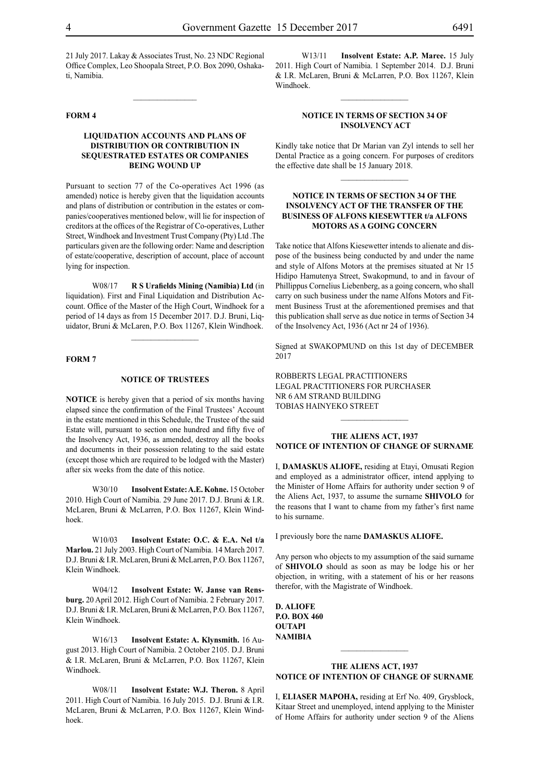21 July 2017. Lakay & Associates Trust, No. 23 NDC Regional Office Complex, Leo Shoopala Street, P.O. Box 2090, Oshakati, Namibia.

#### **FORM 4**

#### **LIQUIDATION ACCOUNTS AND PLANS OF DISTRIBUTION OR CONTRIBUTION IN SEQUESTRATED ESTATES OR COMPANIES BEING WOUND UP**

Pursuant to section 77 of the Co-operatives Act 1996 (as amended) notice is hereby given that the liquidation accounts and plans of distribution or contribution in the estates or companies/cooperatives mentioned below, will lie for inspection of creditors at the offices of the Registrar of Co-operatives, Luther Street, Windhoek and Investment Trust Company (Pty) Ltd .The particulars given are the following order: Name and description of estate/cooperative, description of account, place of account lying for inspection.

W08/17 **R S Urafields Mining (Namibia) Ltd** (in liquidation). First and Final Liquidation and Distribution Account. Office of the Master of the High Court, Windhoek for a period of 14 days as from 15 December 2017. D.J. Bruni, Liquidator, Bruni & McLaren, P.O. Box 11267, Klein Windhoek.

 $\frac{1}{2}$ 

#### **FORM 7**

#### **NOTICE OF TRUSTEES**

**NOTICE** is hereby given that a period of six months having elapsed since the confirmation of the Final Trustees' Account in the estate mentioned in this Schedule, the Trustee of the said Estate will, pursuant to section one hundred and fifty five of the Insolvency Act, 1936, as amended, destroy all the books and documents in their possession relating to the said estate (except those which are required to be lodged with the Master) after six weeks from the date of this notice.

W30/10 **Insolvent Estate: A.E. Kohne.** 15 October 2010. High Court of Namibia. 29 June 2017. D.J. Bruni & I.R. McLaren, Bruni & McLarren, P.O. Box 11267, Klein Windhoek.

W10/03 **Insolvent Estate: O.C. & E.A. Nel t/a Marlou.** 21 July 2003. High Court of Namibia. 14 March 2017. D.J. Bruni & I.R. McLaren, Bruni & McLarren, P.O. Box 11267, Klein Windhoek.

W04/12 **Insolvent Estate: W. Janse van Rensburg.** 20 April 2012. High Court of Namibia. 2 February 2017. D.J. Bruni & I.R. McLaren, Bruni & McLarren, P.O. Box 11267, Klein Windhoek.

W16/13 **Insolvent Estate: A. Klynsmith.** 16 August 2013. High Court of Namibia. 2 October 2105. D.J. Bruni & I.R. McLaren, Bruni & McLarren, P.O. Box 11267, Klein Windhoek.

W08/11 **Insolvent Estate: W.J. Theron.** 8 April 2011. High Court of Namibia. 16 July 2015. D.J. Bruni & I.R. McLaren, Bruni & McLarren, P.O. Box 11267, Klein Windhoek.

W13/11 **Insolvent Estate: A.P. Maree.** 15 July 2011. High Court of Namibia. 1 September 2014. D.J. Bruni & I.R. McLaren, Bruni & McLarren, P.O. Box 11267, Klein Windhoek.

#### **NOTICE IN TERMS OF SECTION 34 OF INSOLVENCY ACT**

Kindly take notice that Dr Marian van Zyl intends to sell her Dental Practice as a going concern. For purposes of creditors the effective date shall be 15 January 2018.

 $\frac{1}{2}$ 

#### **NOTICE IN TERMS OF SECTION 34 OF THE INSOLVENCY ACT OF THE TRANSFER OF THE BUSINESS OF ALFONS KIESEWTTER t/a ALFONS MOTORS AS A GOING CONCERN**

Take notice that Alfons Kiesewetter intends to alienate and dispose of the business being conducted by and under the name and style of Alfons Motors at the premises situated at Nr 15 Hidipo Hamutenya Street, Swakopmund, to and in favour of Phillippus Cornelius Liebenberg, as a going concern, who shall carry on such business under the name Alfons Motors and Fitment Business Trust at the aforementioned premises and that this publication shall serve as due notice in terms of Section 34 of the Insolvency Act, 1936 (Act nr 24 of 1936).

Signed at SWAKOPMUND on this 1st day of DECEMBER 2017

ROBBERTS LEGAL PRACTITIONERS Legal Practitioners for Purchaser Nr 6 Am Strand Building Tobias Hainyeko Street

#### **THE ALIENS ACT, 1937 NOTICE OF INTENTION OF CHANGE OF SURNAME**

I, **damaskus alIofe,** residing at Etayi, Omusati Region and employed as a administrator officer, intend applying to the Minister of Home Affairs for authority under section 9 of the Aliens Act, 1937, to assume the surname **shivolo** for the reasons that I want to chame from my father's first name to his surname.

I previously bore the name **damaskus alIofe.**

Any person who objects to my assumption of the said surname of **shivolo** should as soon as may be lodge his or her objection, in writing, with a statement of his or her reasons therefor, with the Magistrate of Windhoek.

**d. alIofe p.o. box 460 outapi NAMIBIA**

#### **THE ALIENS ACT, 1937 NOTICE OF INTENTION OF CHANGE OF SURNAME**

 $\frac{1}{2}$ 

I, **eliaser mapoha,** residing at Erf No. 409, Grysblock, Kitaar Street and unemployed, intend applying to the Minister of Home Affairs for authority under section 9 of the Aliens